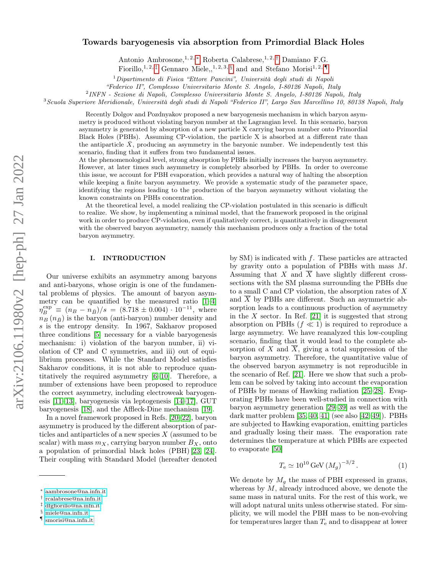# <span id="page-0-5"></span>Towards baryogenesis via absorption from Primordial Black Holes

Antonio Ambrosone, 1, 2,  $*$  Roberta Calabrese, 1, 2, [†](#page-0-1) Damiano F.G.

Fiorillo,<sup>1, 2, [‡](#page-0-2)</sup> Gennaro Miele,,<sup>1, 2, 3, [§](#page-0-3)</sup> and and Stefano Morisi<sup>1, 2, [¶](#page-0-4)</sup>

<sup>1</sup>Dipartimento di Fisica "Ettore Pancini", Università degli studi di Napoli

"Federico II", Complesso Universitario Monte S. Angelo, I-80126 Napoli, Italy

2 INFN - Sezione di Napoli, Complesso Universitario Monte S. Angelo, I-80126 Napoli, Italy

<sup>3</sup>Scuola Superiore Meridionale, Università degli studi di Napoli "Federico II", Largo San Marcellino 10, 80138 Napoli, Italy

Recently Dolgov and Pozdnyakov proposed a new baryogenesis mechanism in which baryon asymmetry is produced without violating baryon number at the Lagrangian level. In this scenario, baryon asymmetry is generated by absorption of a new particle X carrying baryon number onto Primordial Black Holes (PBHs). Assuming CP-violation, the particle X is absorbed at a different rate than the antiparticle  $X$ , producing an asymmetry in the baryonic number. We independently test this scenario, finding that it suffers from two fundamental issues.

At the phenomenological level, strong absorption by PBHs initially increases the baryon asymmetry. However, at later times such asymmetry is completely absorbed by PBHs. In order to overcome this issue, we account for PBH evaporation, which provides a natural way of halting the absorption while keeping a finite baryon asymmetry. We provide a systematic study of the parameter space, identifying the regions leading to the production of the baryon asymmetry without violating the known constraints on PBHs concentration.

At the theoretical level, a model realizing the CP-violation postulated in this scenario is difficult to realize. We show, by implementing a minimal model, that the framework proposed in the original work in order to produce CP-violation, even if qualitatively correct, is quantitatively in disagreement with the observed baryon asymmetry, namely this mechanism produces only a fraction of the total baryon asymmetry.

# I. INTRODUCTION

Our universe exhibits an asymmetry among baryons and anti-baryons, whose origin is one of the fundamental problems of physics. The amount of baryon asymmetry can be quantified by the measured ratio  $[1-4]$  $[1-4]$  $\eta_B^{\text{exp}} \equiv (n_B - n_{\bar{B}})/s = (8.718 \pm 0.004) \cdot 10^{-11}$ , where  $n_B(n_{\bar{B}})$  is the baryon (anti-baryon) number density and s is the entropy density. In 1967, Sakharov proposed three conditions [\[5\]](#page-6-2) necessary for a viable baryogenesis mechanism: i) violation of the baryon number, ii) violation of CP and C symmetries, and iii) out of equilibrium processes. While the Standard Model satisfies Sakharov conditions, it is not able to reproduce quantitatively the required asymmetry [\[6–](#page-6-3)[10\]](#page-6-4). Therefore, a number of extensions have been proposed to reproduce the correct asymmetry, including electroweak baryogenesis [\[11](#page-6-5)[–13\]](#page-6-6), baryogenesis via leptogenesis [\[14](#page-6-7)[–17\]](#page-6-8), GUT baryogenesis [\[18\]](#page-6-9), and the Affleck-Dine mechanism [\[19\]](#page-6-10).

In a novel framework proposed in Refs. [\[20–](#page-6-11)[22\]](#page-6-12), baryon asymmetry is produced by the different absorption of particles and antiparticles of a new species  $X$  (assumed to be scalar) with mass  $m_X$ , carrying baryon number  $B_X$ , onto a population of primordial black holes (PBH) [\[23,](#page-6-13) [24\]](#page-6-14). Their coupling with Standard Model (hereafter denoted

by SM) is indicated with f. These particles are attracted by gravity onto a population of PBHs with mass M. Assuming that X and  $\overline{X}$  have slightly different crosssections with the SM plasma surrounding the PBHs due to a small C and CP violation, the absorption rates of X and  $\overline{X}$  by PBHs are different. Such an asymmetric absorption leads to a continuous production of asymmetry in the X sector. In Ref. [\[21\]](#page-6-15) it is suggested that strong absorption on PBHs  $(f \ll 1)$  is required to reproduce a large asymmetry. We have reanalyzed this low-coupling scenario, finding that it would lead to the complete absorption of X and  $\overline{X}$ , giving a total suppression of the baryon asymmetry. Therefore, the quantitative value of the observed baryon asymmetry is not reproducible in the scenario of Ref. [\[21\]](#page-6-15). Here we show that such a problem can be solved by taking into account the evaporation of PBHs by means of Hawking radiation [\[25–](#page-7-0)[28\]](#page-7-1). Evaporating PBHs have been well-studied in connection with baryon asymmetry generation [\[29–](#page-7-2)[39\]](#page-7-3) as well as with the dark matter problem [\[35,](#page-7-4) [40,](#page-7-5) [41\]](#page-7-6) (see also [\[42](#page-7-7)[–49\]](#page-7-8)). PBHs are subjected to Hawking evaporation, emitting particles and gradually losing their mass. The evaporation rate determines the temperature at which PBHs are expected to evaporate [\[50\]](#page-7-9)

$$
T_e \simeq 10^{10} \,\text{GeV} \,(M_g)^{-3/2} \,. \tag{1}
$$

We denote by  $M_g$  the mass of PBH expressed in grams, whereas by  $M$ , already introduced above, we denote the same mass in natural units. For the rest of this work, we will adopt natural units unless otherwise stated. For simplicity, we will model the PBH mass to be non-evolving for temperatures larger than  $T_e$  and to disappear at lower

<span id="page-0-0"></span><sup>∗</sup> [aambrosone@na.infn.it](mailto:aambrosone@na.infn.it)

<span id="page-0-1"></span><sup>†</sup> [rcalabrese@na.infn.it](mailto:rcalabrese@na.infn.it)

<span id="page-0-2"></span><sup>‡</sup> [dfgfiorillo@na.infn.it](mailto:dfgfiorillo@na.infn.it)

<span id="page-0-3"></span><sup>§</sup> [miele@na.infn.it](mailto:miele@na.infn.it)

<span id="page-0-4"></span><sup>¶</sup> [smorisi@na.infn.it](mailto:smorisi@na.infn.it)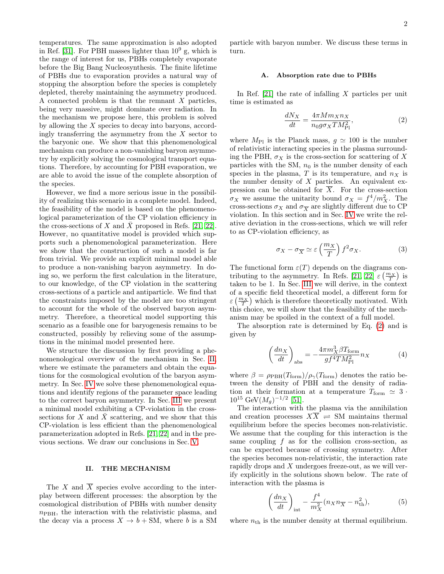<span id="page-1-2"></span>temperatures. The same approximation is also adopted in Ref. [\[31\]](#page-7-10). For PBH masses lighter than  $10^9$  g, which is the range of interest for us, PBHs completely evaporate before the Big Bang Nucleosynthesis. The finite lifetime of PBHs due to evaporation provides a natural way of stopping the absorption before the species is completely depleted, thereby maintaining the asymmetry produced. A connected problem is that the remnant X particles, being very massive, might dominate over radiation. In the mechanism we propose here, this problem is solved by allowing the  $X$  species to decay into baryons, accordingly transferring the asymmetry from the  $X$  sector to the baryonic one. We show that this phenomenological mechanism can produce a non-vanishing baryon asymmetry by explicitly solving the cosmological transport equations. Therefore, by accounting for PBH evaporation, we are able to avoid the issue of the complete absorption of the species.

However, we find a more serious issue in the possibility of realizing this scenario in a complete model. Indeed, the feasibility of the model is based on the phenomenological parameterization of the CP violation efficiency in the cross-sections of  $X$  and  $X$  proposed in Refs. [\[21,](#page-6-15) [22\]](#page-6-12). However, no quantitative model is provided which supports such a phenomenological parameterization. Here we show that the construction of such a model is far from trivial. We provide an explicit minimal model able to produce a non-vanishing baryon asymmetry. In doing so, we perform the first calculation in the literature, to our knowledge, of the CP violation in the scattering cross-sections of a particle and antiparticle. We find that the constraints imposed by the model are too stringent to account for the whole of the observed baryon asymmetry. Therefore, a theoretical model supporting this scenario as a feasible one for baryogenesis remains to be constructed, possibly by relieving some of the assumptions in the minimal model presented here.

We structure the discussion by first providing a phenomenological overview of the mechanism in Sec. [II,](#page-1-0) where we estimate the parameters and obtain the equations for the cosmological evolution of the baryon asymmetry. In Sec. [IV](#page-4-0) we solve these phenomenological equations and identify regions of the parameter space leading to the correct baryon asymmetry. In Sec. [III](#page-2-0) we present a minimal model exhibiting a CP-violation in the crosssections for  $X$  and  $\overline{X}$  scattering, and we show that this CP-violation is less efficient than the phenomenological parameterization adopted in Refs. [\[21,](#page-6-15) [22\]](#page-6-12) and in the previous sections. We draw our conclusions in Sec. [V.](#page-5-0)

### <span id="page-1-0"></span>II. THE MECHANISM

The X and  $\overline{X}$  species evolve according to the interplay between different processes: the absorption by the cosmological distribution of PBHs with number density  $n_{\text{PBH}}$ , the interaction with the relativistic plasma, and the decay via a process  $X \to b + SM$ , where b is a SM particle with baryon number. We discuss these terms in turn.

#### A. Absorption rate due to PBHs

In Ref.  $[21]$  the rate of infalling X particles per unit time is estimated as

<span id="page-1-1"></span>
$$
\frac{dN_X}{dt} = \frac{4\pi M m_X n_X}{n_0 g \sigma_X T M_{\text{Pl}}^2},\tag{2}
$$

where  $M_{\text{Pl}}$  is the Planck mass,  $g \simeq 100$  is the number of relativistic interacting species in the plasma surrounding the PBH,  $\sigma_X$  is the cross-section for scattering of X particles with the SM,  $n_0$  is the number density of each species in the plasma, T is its temperature, and  $n<sub>X</sub>$  is the number density of  $X$  particles. An equivalent expression can be obtained for  $\overline{X}$ . For the cross-section  $\sigma_X$  we assume the unitarity bound  $\sigma_X = f^4/m_X^2$ . The cross-sections  $\sigma_X$  and  $\sigma_{\overline{X}}$  are slightly different due to CP violation. In this section and in Sec. [IV](#page-4-0) we write the relative deviation in the cross-sections, which we will refer to as CP-violation efficiency, as

$$
\sigma_X - \sigma_{\overline{X}} \simeq \varepsilon \left(\frac{m_X}{T}\right) f^2 \sigma_X. \tag{3}
$$

The functional form  $\varepsilon(T)$  depends on the diagrams con-tributing to the asymmetry. In Refs. [\[21,](#page-6-15) [22\]](#page-6-12)  $\varepsilon \left(\frac{m_X}{T}\right)$  is taken to be 1. In Sec. [III](#page-2-0) we will derive, in the context of a specific field theoretical model, a different form for  $\varepsilon\left(\frac{m_X}{T}\right)$  which is therefore theoretically motivated. With this choice, we will show that the feasibility of the mechanism may be spoiled in the context of a full model.

The absorption rate is determined by Eq. [\(2\)](#page-1-1) and is given by

$$
\left(\frac{dn_X}{dt}\right)_{\text{abs}} = -\frac{4\pi m_X^3 \beta T_{\text{form}}}{gf^4 T M_{\text{Pl}}^2} n_X \tag{4}
$$

where  $\beta = \rho_{\text{PBH}}(T_{\text{form}})/\rho_{\gamma}(T_{\text{form}})$  denotes the ratio between the density of PBH and the density of radiation at their formation at a temperature  $T_{\text{form}} \simeq 3$ .  $10^{15} \text{ GeV}(M_g)^{-1/2}$  [\[51\]](#page-7-11).

The interaction with the plasma via the annihilation and creation processes  $X\overline{X}$   $\rightleftharpoons$  SM maintains thermal equilibrium before the species becomes non-relativistic. We assume that the coupling for this interaction is the same coupling  $f$  as for the collision cross-section, as can be expected because of crossing symmetry. After the species becomes non-relativistic, the interaction rate rapidly drops and X undergoes freeze-out, as we will verify explicitly in the solutions shown below. The rate of interaction with the plasma is

$$
\left(\frac{dn_X}{dt}\right)_{\text{int}} - \frac{f^4}{m_X^2} (n_X n_{\overline{X}} - n_{\text{th}}^2),\tag{5}
$$

where  $n_{\text{th}}$  is the number density at thermal equilibrium.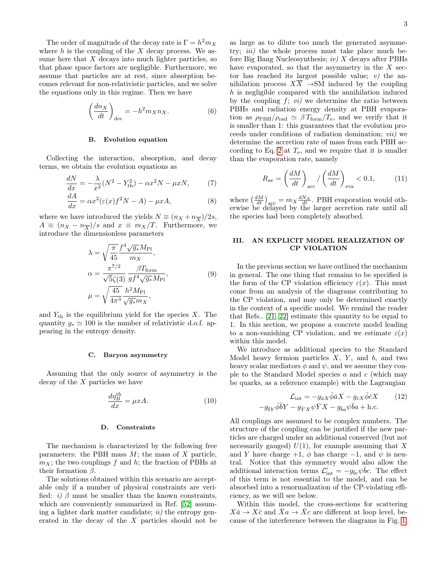<span id="page-2-1"></span>The order of magnitude of the decay rate is  $\Gamma = h^2 m_X$ where  $h$  is the coupling of the  $X$  decay process. We assume here that  $X$  decays into much lighter particles, so that phase space factors are negligible. Furthermore, we assume that particles are at rest, since absorption becomes relevant for non-relativistic particles, and we solve the equations only in this regime. Then we have

$$
\left(\frac{dn_X}{dt}\right)_{\text{dec}} = -h^2 m_X n_X. \tag{6}
$$

# B. Evolution equation

Collecting the interaction, absorption, and decay terms, we obtain the evolution equations as

$$
\frac{dN}{dx} = -\frac{\lambda}{x^2} (N^2 - Y_{\text{th}}^2) - \alpha x^2 N - \mu x N, \tag{7}
$$

$$
\frac{dA}{dx} = \alpha x^2 (\varepsilon(x) f^2 N - A) - \mu x A, \tag{8}
$$

where we have introduced the yields  $N \equiv (n_X + n_{\overline{X}})/2s$ ,  $A \equiv (n_X - n_{\overline{X}})/s$  and  $x \equiv m_X/T$ . Furthermore, we introduce the dimensionless parameters

$$
\lambda = \sqrt{\frac{\pi}{45}} \frac{f^4 \sqrt{g_*} M_{\text{Pl}}}{m_X},
$$
  
\n
$$
\alpha = \frac{\pi^{7/2}}{\sqrt{5} \zeta(3)} \frac{\beta T_{\text{form}}}{g f^4 \sqrt{g_*} M_{\text{Pl}}},
$$
  
\n
$$
\mu = \sqrt{\frac{45}{4\pi^3}} \frac{h^2 M_{\text{Pl}}}{\sqrt{g_*} m_X},
$$
\n(9)

and  $Y_{\text{th}}$  is the equilibrium yield for the species X. The quantity  $g_* \simeq 100$  is the number of relativistic d.o.f. appearing in the entropy density.

#### C. Baryon asymmetry

Assuming that the only source of asymmetry is the decay of the  $X$  particles we have

$$
\frac{d\eta_B^{\text{th}}}{dx} = \mu x A. \tag{10}
$$

# D. Constraints

The mechanism is characterized by the following free parameters: the PBH mass  $M$ ; the mass of  $X$  particle,  $m_X$ ; the two couplings f and h; the fraction of PBHs at their formation  $\beta$ .

The solutions obtained within this scenario are acceptable only if a number of physical constraints are verified: i) β must be smaller than the known constraints, which are conveniently summarized in Ref. [\[52\]](#page-7-12) assuming a lighter dark matter candidate;  $ii$  the entropy generated in the decay of the X particles should not be as large as to dilute too much the generated asymmetry; *iii*) the whole process must take place much before Big Bang Nucleosynthesis;  $iv) X$  decays after PBHs have evaporated, so that the asymmetry in the  $X$  sector has reached its largest possible value;  $v$ ) the annihilation process  $X\overline{X} \rightarrow SM$  induced by the coupling  $h$  is negligible compared with the annihilation induced by the coupling  $f$ ;  $vi)$  we determine the ratio between PBHs and radiation energy density at PBH evaporation as  $\rho_{\text{PBH}}/\rho_{\text{rad}} \simeq \beta T_{\text{form}}/T_{\text{e}}$ , and we verify that it is smaller than 1: this guarantees that the evolution proceeds under conditions of radiation domination; vii) we determine the accretion rate of mass from each PBH ac-cording to Eq. [2](#page-1-1) at  $T_e$ , and we require that it is smaller than the evaporation rate, namely

$$
R_{\rm ae} = \left(\frac{dM}{dt}\right)_{\rm acc} / \left(\frac{dM}{dt}\right)_{\rm eva} < 0.1, \tag{11}
$$

where  $\left(\frac{dM}{dt}\right)_{\text{acc}} = m_X \frac{dN_X}{dt}$ . PBH evaporation would otherwise be delayed by the larger accretion rate until all the species had been completely absorbed.

## <span id="page-2-0"></span>III. AN EXPLICIT MODEL REALIZATION OF CP VIOLATION

In the previous section we have outlined the mechanism in general. The one thing that remains to be specified is the form of the CP violation efficiency  $\varepsilon(x)$ . This must come from an analysis of the diagrams contributing to the CP violation, and may only be determined exactly in the context of a specific model. We remind the reader that Refs.. [\[21,](#page-6-15) [22\]](#page-6-12) estimate this quantity to be equal to 1. In this section, we propose a concrete model leading to a non-vanishing CP violation, and we estimate  $\varepsilon(x)$ within this model.

We introduce as additional species to the Standard Model heavy fermion particles  $X$ ,  $Y$ , and  $b$ , and two heavy scalar mediators  $\phi$  and  $\psi$ , and we assume they couple to the Standard Model species  $a$  and  $c$  (which may be quarks, as a reference example) with the Lagrangian

$$
\mathcal{L}_{int} = -g_{\bar{a}X}\bar{\phi}\bar{a}X - g_{\bar{c}X}\bar{\phi}\bar{c}X
$$
 (12)  

$$
-g_{\bar{b}Y}\bar{\phi}\bar{b}Y - g_{\bar{Y}X}\psi\bar{Y}X - g_{\bar{b}a}\psi\bar{b}a + h.c.
$$

All couplings are assumed to be complex numbers. The structure of the coupling can be justified if the new particles are charged under an additional conserved (but not necessarily gauged)  $U(1)$ , for example assuming that X and Y have charge  $+1$ ,  $\phi$  has charge  $-1$ , and  $\psi$  is neutral. Notice that this symmetry would also allow the additional interaction terms  $\mathcal{L}'_{int} = -g_{bc}\psi\bar{b}c$ . The effect of this term is not essential to the model, and can be absorbed into a renormalization of the CP-violating efficiency, as we will see below.

Within this model, the cross-sections for scattering  $X\bar{a}\to X\bar{c}$  and  $\bar{X}a\to\bar{X}c$  are different at loop level, because of the interference between the diagrams in Fig. [1.](#page-3-0)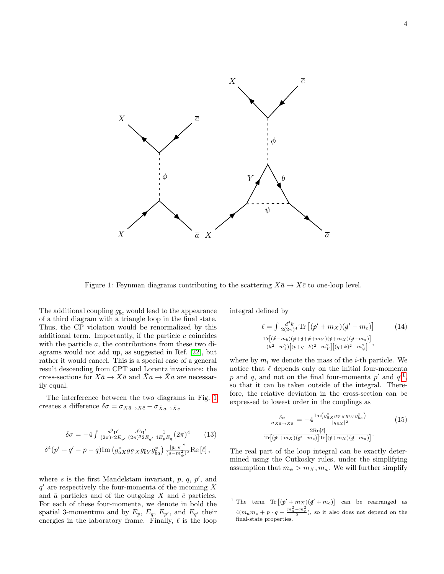<span id="page-3-2"></span><span id="page-3-0"></span>

Figure 1: Feynman diagrams contributing to the scattering  $X\bar{a} \to X\bar{c}$  to one-loop level.

The additional coupling  $g_{\bar{b}c}$  would lead to the appearance of a third diagram with a triangle loop in the final state. Thus, the CP violation would be renormalized by this additional term. Importantly, if the particle  $c$  coincides with the particle a, the contributions from these two diagrams would not add up, as suggested in Ref. [\[22\]](#page-6-12), but rather it would cancel. This is a special case of a general result descending from CPT and Lorentz invariance: the cross-sections for  $X\bar{a} \to X\bar{a}$  and  $\bar{X}a \to \bar{X}a$  are necessarily equal.

The interference between the two diagrams in Fig. [1](#page-3-0) creates a difference  $\delta\sigma=\sigma_{X\bar{a}\to X\bar{c}}-\sigma_{\bar{X}a\to\bar{X}c}$ 

$$
\delta\sigma = -4 \int \frac{d^3 \mathbf{p}'}{(2\pi)^3 2E_{p'}} \frac{d^3 \mathbf{q}'}{(2\pi)^3 2E_{q'}} \frac{1}{4E_p E_q} (2\pi)^4 \qquad (13)
$$
  

$$
\delta^4(p' + q' - p - q) \text{Im} \left( g_{\bar{a}X}^* g_{\bar{Y}X} g_{\bar{b}Y} g_{\bar{b}a}^* \right) \frac{|g_{\bar{c}X}|^2}{(s - m_\phi^2)^2} \text{Re} [\ell],
$$

where  $s$  is the first Mandelstam invariant,  $p, q, p'$ , and  $q'$  are respectively the four-momenta of the incoming X and  $\bar{a}$  particles and of the outgoing X and  $\bar{c}$  particles. For each of these four-momenta, we denote in bold the spatial 3-momentum and by  $E_p$ ,  $E_q$ ,  $E_{p'}$ , and  $E_{q'}$  their energies in the laboratory frame. Finally,  $\ell$  is the loop

integral defined by

$$
\ell = \int \frac{d^4k}{2(2\pi)^4} \text{Tr} \left[ (\rlap{\,/}\psi + m_X)(\rlap{\,/}\psi - m_c) \right] \tag{14}
$$
\n
$$
\frac{\text{Tr}[(\rlap{\,/}\kappa - m_b)(\rlap{\,/}\psi + \rlap{\,/}\psi + m_Y)(\rlap{\,/}\psi + m_X)(\rlap{\,/}\psi - m_a)}{(\kappa^2 - m_b^2)[(\rho + q + k)^2 - m_Y^2][(q + k)^2 - m_\psi^2]},
$$

where by  $m_i$  we denote the mass of the *i*-th particle. We notice that  $\ell$  depends only on the initial four-momenta p and q, and not on the final four-momenta  $p'$  and  $q'^1$  $q'^1$ , so that it can be taken outside of the integral. Therefore, the relative deviation in the cross-section can be expressed to lowest order in the couplings as

$$
\frac{\delta \sigma}{\sigma_{X\bar{a}\to X\bar{c}}} = -4 \frac{\text{Im}\left(g_{\bar{a}X}^* g_{\bar{Y}X} g_{\bar{b}Y} g_{\bar{b}a}^*\right)}{|g_{\bar{a}X}|^2} \qquad (15)
$$
\n
$$
\frac{2\text{Re}[\ell]}{\text{Tr}\left[(\rlap/v+m_X)(\rlap/v-m_c)\right] \text{Tr}\left[(\rlap/v+m_X)(\rlap/v-m_a)\right]}.
$$

The real part of the loop integral can be exactly determined using the Cutkosky rules, under the simplifying assumption that  $m_{\psi} > m_X, m_a$ . We will further simplify

<span id="page-3-1"></span><sup>&</sup>lt;sup>1</sup> The term  $\text{Tr}[(p' + m_X)(q' + m_c)]$  can be rearranged as  $4(m_am_c+p\cdot q+\frac{m_a^2-m_c^2}{2}),$  so it also does not depend on the final-state properties.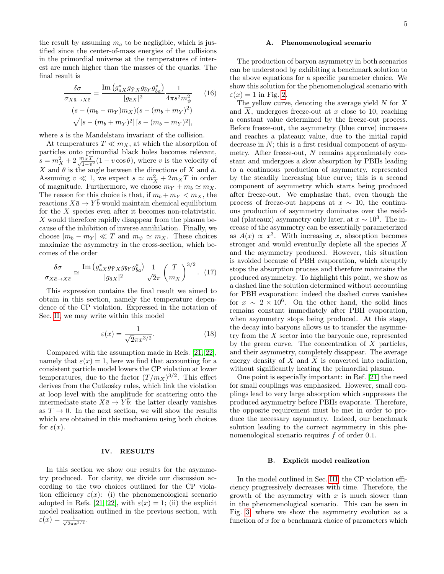<span id="page-4-1"></span>the result by assuming  $m_a$  to be negligible, which is justified since the center-of-mass energies of the collisions in the primordial universe at the temperatures of interest are much higher than the masses of the quarks. The final result is

$$
\frac{\delta \sigma}{\sigma_{X\bar{a}\to X\bar{c}}} = \frac{\text{Im}\left(g_{\bar{a}X}^* g_{\bar{Y}X} g_{\bar{b}Y} g_{\bar{b}a}^*\right)}{|g_{\bar{a}X}|^2} \frac{1}{4\pi s^2 m_{\psi}^2} \qquad (16)
$$

$$
(s - (m_b - m_Y)m_X)(s - (m_b + m_Y)^2)
$$

$$
\sqrt{[s - (m_b + m_Y)^2][s - (m_b - m_Y)^2]},
$$

where s is the Mandelstam invariant of the collision.

At temperatures  $T \ll m_X$ , at which the absorption of particles onto primordial black holes becomes relevant,  $s = m_X^2 + 2 \frac{m_X T}{\sqrt{1 - v^2}} (1 - v \cos \theta)$ , where v is the velocity of X and  $\theta$  is the angle between the directions of X and  $\bar{a}$ . Assuming  $v \ll 1$ , we expect  $s \simeq m_X^2 + 2m_X T$  in order of magnitude. Furthermore, we choose  $m_Y + m_b \simeq m_X$ . The reason for this choice is that, if  $m_b + m_Y < m_X$ , the reactions  $X\bar{a} \to Y\bar{b}$  would maintain chemical equilibrium for the X species even after it becomes non-relativistic. X would therefore rapidly disappear from the plasma because of the inhibition of inverse annihilation. Finally, we choose  $|m_b - m_Y| \ll T$  and  $m_{\psi} \simeq m_X$ . These choices maximize the asymmetry in the cross-section, which becomes of the order

$$
\frac{\delta\sigma}{\sigma_{X\bar{a}\to X\bar{c}}} \simeq \frac{\operatorname{Im}\left(g_{\bar{a}X}^* g_{\bar{Y}X} g_{\bar{b}Y} g_{\bar{b}a}^*\right)}{|g_{\bar{a}X}|^2} \frac{1}{\sqrt{2}\pi} \left(\frac{T}{m_X}\right)^{3/2}.\tag{17}
$$

This expression contains the final result we aimed to obtain in this section, namely the temperature dependence of the CP violation. Expressed in the notation of Sec. [II,](#page-1-0) we may write within this model

$$
\varepsilon(x) = \frac{1}{\sqrt{2}\pi x^{3/2}}.\tag{18}
$$

Compared with the assumption made in Refs. [\[21,](#page-6-15) [22\]](#page-6-12), namely that  $\varepsilon(x) = 1$ , here we find that accounting for a consistent particle model lowers the CP violation at lower temperatures, due to the factor  $(T/m_X)^{3/2}$ . This effect derives from the Cutkosky rules, which link the violation at loop level with the amplitude for scattering onto the intermediate state  $X\bar{a} \to Y\bar{b}$ : the latter clearly vanishes as  $T \to 0$ . In the next section, we will show the results which are obtained in this mechanism using both choices for  $\varepsilon(x)$ .

### <span id="page-4-0"></span>IV. RESULTS

In this section we show our results for the asymmetry produced. For clarity, we divide our discussion according to the two choices outlined for the CP violation efficiency  $\varepsilon(x)$ : (i) the phenomenological scenario adopted in Refs. [\[21,](#page-6-15) [22\]](#page-6-12), with  $\varepsilon(x) = 1$ ; (ii) the explicit model realization outlined in the previous section, with  $\varepsilon(x) = \frac{1}{\sqrt{2}}$  $\frac{1}{2\pi x^{3/2}}.$ 

## A. Phenomenological scenario

The production of baryon asymmetry in both scenarios can be understood by exhibiting a benchmark solution to the above equations for a specific parameter choice. We show this solution for the phenomenological scenario with  $\varepsilon(x) = 1$  in Fig. [2.](#page-5-1)

The yellow curve, denoting the average yield  $N$  for  $X$ and  $\overline{X}$ , undergoes freeze-out at x close to 10, reaching a constant value determined by the freeze-out process. Before freeze-out, the asymmetry (blue curve) increases and reaches a plateaux value, due to the initial rapid decrease in  $N$ ; this is a first residual component of asymmetry. After freeze-out, N remains approximately constant and undergoes a slow absorption by PBHs leading to a continuous production of asymmetry, represented by the steadily increasing blue curve; this is a second component of asymmetry which starts being produced after freeze-out. We emphasize that, even though the process of freeze-out happens at  $x \sim 10$ , the continuous production of asymmetry dominates over the residual (plateaux) asymmetry only later, at  $x \sim 10^3$ . The increase of the asymmetry can be essentially parameterized as  $A(x) \propto x^3$ . With increasing x, absorption becomes stronger and would eventually deplete all the species  $X$ and the asymmetry produced. However, this situation is avoided because of PBH evaporation, which abruptly stops the absorption process and therefore maintains the produced asymmetry. To highlight this point, we show as a dashed line the solution determined without accounting for PBH evaporation: indeed the dashed curve vanishes for  $x \sim 2 \times 10^6$ . On the other hand, the solid lines remains constant immediately after PBH evaporation, when asymmetry stops being produced. At this stage, the decay into baryons allows us to transfer the asymmetry from the  $X$  sector into the baryonic one, represented by the green curve. The concentration of  $X$  particles, and their asymmetry, completely disappear. The average energy density of X and  $\overline{X}$  is converted into radiation, without significantly heating the primordial plasma.

One point is especially important: in Ref. [\[21\]](#page-6-15) the need for small couplings was emphasized. However, small couplings lead to very large absorption which suppresses the produced asymmetry before PBHs evaporate. Therefore, the opposite requirement must be met in order to produce the necessary asymmetry. Indeed, our benchmark solution leading to the correct asymmetry in this phenomenological scenario requires f of order 0.1.

#### B. Explicit model realization

In the model outlined in Sec. [III,](#page-2-0) the CP violation efficiency progressively decreases with time. Therefore, the growth of the asymmetry with  $x$  is much slower than in the phenomenological scenario. This can be seen in Fig. [3,](#page-5-2) where we show the asymmetry evolution as a function of  $x$  for a benchmark choice of parameters which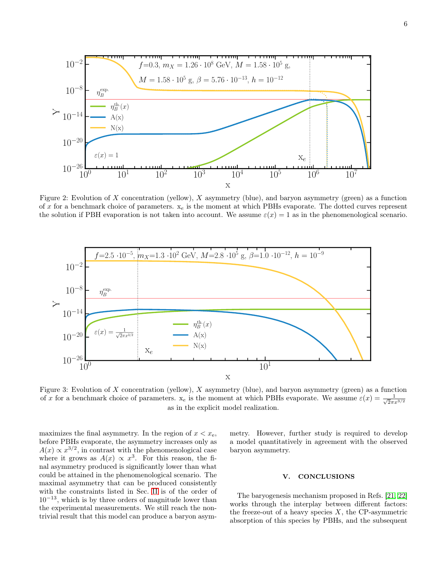<span id="page-5-3"></span><span id="page-5-1"></span>

Figure 2: Evolution of X concentration (yellow), X asymmetry (blue), and baryon asymmetry (green) as a function of x for a benchmark choice of parameters.  $x_e$  is the moment at which PBHs evaporate. The dotted curves represent the solution if PBH evaporation is not taken into account. We assume  $\varepsilon(x) = 1$  as in the phenomenological scenario.

<span id="page-5-2"></span>

Figure 3: Evolution of  $X$  concentration (yellow),  $X$  asymmetry (blue), and baryon asymmetry (green) as a function of x for a benchmark choice of parameters.  $x_e$  is the moment at which PBHs evaporate. We assume  $\varepsilon(x) = \frac{1}{\sqrt{2\pi}}$  $\overline{2}\pi x^{3/2}$ as in the explicit model realization.

maximizes the final asymmetry. In the region of  $x < x_{e}$ , before PBHs evaporate, the asymmetry increases only as  $A(x) \propto x^{3/2}$ , in contrast with the phenomenological case where it grows as  $A(x) \propto x^3$ . For this reason, the final asymmetry produced is significantly lower than what could be attained in the phenomenological scenario. The maximal asymmetry that can be produced consistently with the constraints listed in Sec. [II](#page-1-0) is of the order of  $10^{-13}$ , which is by three orders of magnitude lower than the experimental measurements. We still reach the nontrivial result that this model can produce a baryon asymmetry. However, further study is required to develop a model quantitatively in agreement with the observed baryon asymmetry.

### <span id="page-5-0"></span>V. CONCLUSIONS

The baryogenesis mechanism proposed in Refs. [\[21,](#page-6-15) [22\]](#page-6-12) works through the interplay between different factors: the freeze-out of a heavy species  $X$ , the CP-asymmetric absorption of this species by PBHs, and the subsequent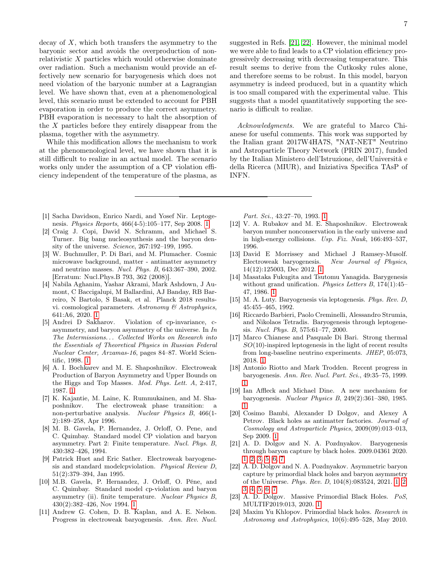<span id="page-6-16"></span>decay of  $X$ , which both transfers the asymmetry to the baryonic sector and avoids the overproduction of nonrelativistic X particles which would otherwise dominate over radiation. Such a mechanism would provide an effectively new scenario for baryogenesis which does not need violation of the baryonic number at a Lagrangian level. We have shown that, even at a phenomenological level, this scenario must be extended to account for PBH evaporation in order to produce the correct asymmetry. PBH evaporation is necessary to halt the absorption of the X particles before they entirely disappear from the plasma, together with the asymmetry.

While this modification allows the mechanism to work at the phenomenological level, we have shown that it is still difficult to realize in an actual model. The scenario works only under the assumption of a CP violation efficiency independent of the temperature of the plasma, as

- <span id="page-6-0"></span>[1] Sacha Davidson, Enrico Nardi, and Yosef Nir. Leptogenesis. Physics Reports, 466(4-5):105–177, Sep 2008. [1](#page-0-5)
- [2] Craig J. Copi, David N. Schramm, and Michael S. Turner. Big bang nucleosynthesis and the baryon density of the universe. Science, 267:192–199, 1995.
- [3] W. Buchmuller, P. Di Bari, and M. Plumacher. Cosmic microwave background, matter - antimatter asymmetry and neutrino masses. Nucl. Phys. B, 643:367–390, 2002. [Erratum: Nucl.Phys.B 793, 362 (2008)].
- <span id="page-6-1"></span>[4] Nabila Aghanim, Yashar Akrami, Mark Ashdown, J Aumont, C Baccigalupi, M Ballardini, AJ Banday, RB Barreiro, N Bartolo, S Basak, et al. Planck 2018 resultsvi. cosmological parameters. Astronomy  $\mathcal C$  Astrophysics, 641:A6, 2020. [1](#page-0-5)
- <span id="page-6-2"></span>[5] Andrei D Sakharov. Violation of cp-invariance, casymmetry, and baryon asymmetry of the universe. In In The Intermissions. . . Collected Works on Research into the Essentials of Theoretical Physics in Russian Federal Nuclear Center, Arzamas-16, pages 84–87. World Scientific, 1998. [1](#page-0-5)
- <span id="page-6-3"></span>[6] A. I. Bochkarev and M. E. Shaposhnikov. Electroweak Production of Baryon Asymmetry and Upper Bounds on the Higgs and Top Masses. Mod. Phys. Lett. A, 2:417, 1987. [1](#page-0-5)
- [7] K. Kajantie, M. Laine, K. Rummukainen, and M. Shaposhnikov. The electroweak phase transition: a non-perturbative analysis. Nuclear Physics B, 466(1- 2):189–258, Apr 1996.
- [8] M. B. Gavela, P. Hernandez, J. Orloff, O. Pene, and C. Quimbay. Standard model CP violation and baryon asymmetry. Part 2: Finite temperature. Nucl. Phys. B, 430:382–426, 1994.
- [9] Patrick Huet and Eric Sather. Electroweak baryogenesis and standard modelcpviolation. Physical Review D, 51(2):379–394, Jan 1995.
- <span id="page-6-4"></span>[10] M.B. Gavela, P. Hernandez, J. Orloff, O. Péne, and C. Quimbay. Standard model cp-violation and baryon asymmetry (ii). finite temperature. Nuclear Physics B, 430(2):382–426, Nov 1994. [1](#page-0-5)
- <span id="page-6-5"></span>[11] Andrew G. Cohen, D. B. Kaplan, and A. E. Nelson. Progress in electroweak baryogenesis. Ann. Rev. Nucl.

suggested in Refs. [\[21,](#page-6-15) [22\]](#page-6-12). However, the minimal model we were able to find leads to a CP violation efficiency progressively decreasing with decreasing temperature. This result seems to derive from the Cutkosky rules alone, and therefore seems to be robust. In this model, baryon asymmetry is indeed produced, but in a quantity which is too small compared with the experimental value. This suggests that a model quantitatively supporting the scenario is difficult to realize.

Acknowledgments. We are grateful to Marco Chianese for useful comments. This work was supported by the Italian grant 2017W4HA7S, "NAT-NET" Neutrino and Astroparticle Theory Network (PRIN 2017), funded by the Italian Ministero dell'Istruzione, dell'Università e della Ricerca (MIUR), and Iniziativa Specifica TAsP of INFN.

Part. Sci., 43:27–70, 1993. [1](#page-0-5)

- [12] V. A. Rubakov and M. E. Shaposhnikov. Electroweak baryon number nonconservation in the early universe and in high-energy collisions. Usp. Fiz. Nauk, 166:493–537, 1996.
- <span id="page-6-6"></span>[13] David E Morrissey and Michael J Ramsey-Musolf. Electroweak baryogenesis. New Journal of Physics, 14(12):125003, Dec 2012. [1](#page-0-5)
- <span id="page-6-7"></span>[14] Masataka Fukugita and Tsutomu Yanagida. Barygenesis without grand unification. *Physics Letters B*, 174(1):45– 47, 1986. [1](#page-0-5)
- [15] M. A. Luty. Baryogenesis via leptogenesis. Phys. Rev. D, 45:455–465, 1992.
- [16] Riccardo Barbieri, Paolo Creminelli, Alessandro Strumia, and Nikolaos Tetradis. Baryogenesis through leptogenesis. Nucl. Phys. B, 575:61–77, 2000.
- <span id="page-6-8"></span>[17] Marco Chianese and Pasquale Di Bari. Strong thermal  $SO(10)$ -inspired leptogenesis in the light of recent results from long-baseline neutrino experiments. JHEP, 05:073, 2018. [1](#page-0-5)
- <span id="page-6-9"></span>[18] Antonio Riotto and Mark Trodden. Recent progress in baryogenesis. Ann. Rev. Nucl. Part. Sci., 49:35–75, 1999. [1](#page-0-5)
- <span id="page-6-10"></span>[19] Ian Affleck and Michael Dine. A new mechanism for baryogenesis. Nuclear Physics B, 249(2):361–380, 1985. [1](#page-0-5)
- <span id="page-6-11"></span>[20] Cosimo Bambi, Alexander D Dolgov, and Alexey A Petrov. Black holes as antimatter factories. Journal of Cosmology and Astroparticle Physics, 2009(09):013–013, Sep 2009. [1](#page-0-5)
- <span id="page-6-15"></span>[21] A. D. Dolgov and N. A. Pozdnyakov. Baryogenesis through baryon capture by black holes. 2009.04361 2020. [1,](#page-0-5) [2,](#page-1-2) [3,](#page-2-1) [5,](#page-4-1) [6,](#page-5-3) [7](#page-6-16)
- <span id="page-6-12"></span>[22] A. D. Dolgov and N. A. Pozdnyakov. Asymmetric baryon capture by primordial black holes and baryon asymmetry of the Universe. Phys. Rev. D, 104(8):083524, 2021. [1,](#page-0-5) [2,](#page-1-2) [3,](#page-2-1) [4,](#page-3-2) [5,](#page-4-1) [6,](#page-5-3) [7](#page-6-16)
- <span id="page-6-13"></span>[23] A. D. Dolgov. Massive Primordial Black Holes. PoS, MULTIF2019:013, 2020. [1](#page-0-5)
- <span id="page-6-14"></span>[24] Maxim Yu Khlopov. Primordial black holes. Research in Astronomy and Astrophysics, 10(6):495–528, May 2010.